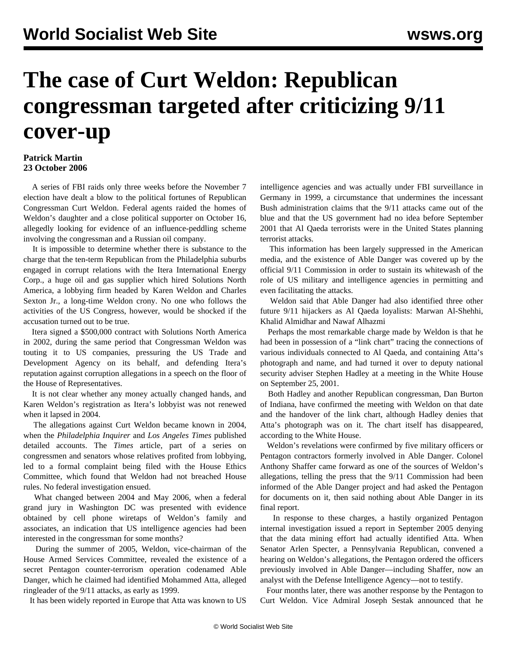## **The case of Curt Weldon: Republican congressman targeted after criticizing 9/11 cover-up**

## **Patrick Martin 23 October 2006**

 A series of FBI raids only three weeks before the November 7 election have dealt a blow to the political fortunes of Republican Congressman Curt Weldon. Federal agents raided the homes of Weldon's daughter and a close political supporter on October 16, allegedly looking for evidence of an influence-peddling scheme involving the congressman and a Russian oil company.

 It is impossible to determine whether there is substance to the charge that the ten-term Republican from the Philadelphia suburbs engaged in corrupt relations with the Itera International Energy Corp., a huge oil and gas supplier which hired Solutions North America, a lobbying firm headed by Karen Weldon and Charles Sexton Jr., a long-time Weldon crony. No one who follows the activities of the US Congress, however, would be shocked if the accusation turned out to be true.

 Itera signed a \$500,000 contract with Solutions North America in 2002, during the same period that Congressman Weldon was touting it to US companies, pressuring the US Trade and Development Agency on its behalf, and defending Itera's reputation against corruption allegations in a speech on the floor of the House of Representatives.

 It is not clear whether any money actually changed hands, and Karen Weldon's registration as Itera's lobbyist was not renewed when it lapsed in 2004.

 The allegations against Curt Weldon became known in 2004, when the *Philadelphia Inquirer* and *Los Angeles Times* published detailed accounts. The *Times* article, part of a series on congressmen and senators whose relatives profited from lobbying, led to a formal complaint being filed with the House Ethics Committee, which found that Weldon had not breached House rules. No federal investigation ensued.

 What changed between 2004 and May 2006, when a federal grand jury in Washington DC was presented with evidence obtained by cell phone wiretaps of Weldon's family and associates, an indication that US intelligence agencies had been interested in the congressman for some months?

 During the summer of 2005, Weldon, vice-chairman of the House Armed Services Committee, revealed the existence of a secret Pentagon counter-terrorism operation codenamed Able Danger, which he claimed had identified Mohammed Atta, alleged ringleader of the 9/11 attacks, as early as 1999.

It has been widely reported in Europe that Atta was known to US

intelligence agencies and was actually under FBI surveillance in Germany in 1999, a circumstance that undermines the incessant Bush administration claims that the 9/11 attacks came out of the blue and that the US government had no idea before September 2001 that Al Qaeda terrorists were in the United States planning terrorist attacks.

 This information has been largely suppressed in the American media, and the existence of Able Danger was covered up by the official 9/11 Commission in order to sustain its whitewash of the role of US military and intelligence agencies in permitting and even facilitating the attacks.

 Weldon said that Able Danger had also identified three other future 9/11 hijackers as Al Qaeda loyalists: Marwan Al-Shehhi, Khalid Almidhar and Nawaf Alhazmi

 Perhaps the most remarkable charge made by Weldon is that he had been in possession of a "link chart" tracing the connections of various individuals connected to Al Qaeda, and containing Atta's photograph and name, and had turned it over to deputy national security adviser Stephen Hadley at a meeting in the White House on September 25, 2001.

 Both Hadley and another Republican congressman, Dan Burton of Indiana, have confirmed the meeting with Weldon on that date and the handover of the link chart, although Hadley denies that Atta's photograph was on it. The chart itself has disappeared, according to the White House.

 Weldon's revelations were confirmed by five military officers or Pentagon contractors formerly involved in Able Danger. Colonel Anthony Shaffer came forward as one of the sources of Weldon's allegations, telling the press that the 9/11 Commission had been informed of the Able Danger project and had asked the Pentagon for documents on it, then said nothing about Able Danger in its final report.

 In response to these charges, a hastily organized Pentagon internal investigation issued a report in September 2005 denying that the data mining effort had actually identified Atta. When Senator Arlen Specter, a Pennsylvania Republican, convened a hearing on Weldon's allegations, the Pentagon ordered the officers previously involved in Able Danger—including Shaffer, now an analyst with the Defense Intelligence Agency—not to testify.

 Four months later, there was another response by the Pentagon to Curt Weldon. Vice Admiral Joseph Sestak announced that he